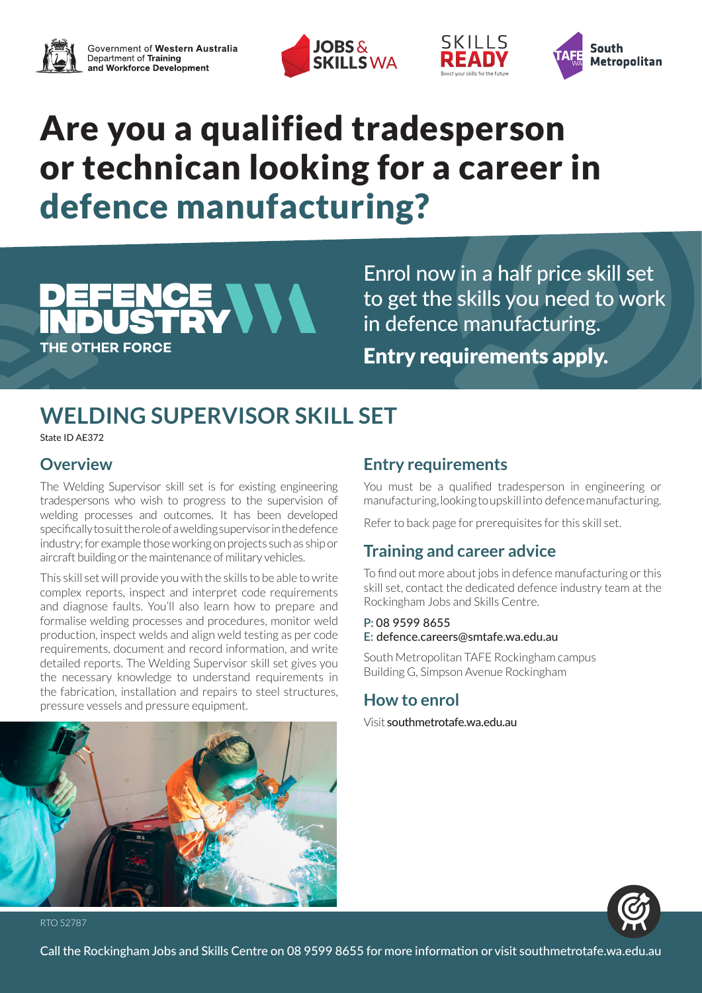





## Are you a qualified tradesperson or technican looking for a career in defence manufacturing?

# CE VVV **THE OTHER FORCE**

Enrol now in a half price skill set to get the skills you need to work in defence manufacturing. Entry requirements apply.

SKILLS

## **WELDING SUPERVISOR SKILL SET**

State ID AE372

## **Overview**

The Welding Supervisor skill set is for existing engineering tradespersons who wish to progress to the supervision of welding processes and outcomes. It has been developed specifically to suit the role of a welding supervisor in the defence industry; for example those working on projects such as ship or aircraft building or the maintenance of military vehicles.

This skill set will provide you with the skills to be able to write complex reports, inspect and interpret code requirements and diagnose faults. You'll also learn how to prepare and formalise welding processes and procedures, monitor weld production, inspect welds and align weld testing as per code requirements, document and record information, and write detailed reports. The Welding Supervisor skill set gives you the necessary knowledge to understand requirements in the fabrication, installation and repairs to steel structures, pressure vessels and pressure equipment.

## **Entry requirements**

You must be a qualified tradesperson in engineering or manufacturing, looking to upskill into defence manufacturing.

Refer to back page for prerequisites for this skill set.

## **Training and career advice**

To find out more about jobs in defence manufacturing or this skill set, contact the dedicated defence industry team at the Rockingham Jobs and Skills Centre.

### **P:** 08 9599 8655 **E:** defence.careers@smtafe.wa.edu.au

South Metropolitan TAFE Rockingham campus Building G, Simpson Avenue Rockingham

## **How to enrol**

Visit southmetrotafe.wa.edu.au





RTO 52787

Call the Rockingham Jobs and Skills Centre on 08 9599 8655 for more information or visit southmetrotafe.wa.edu.au